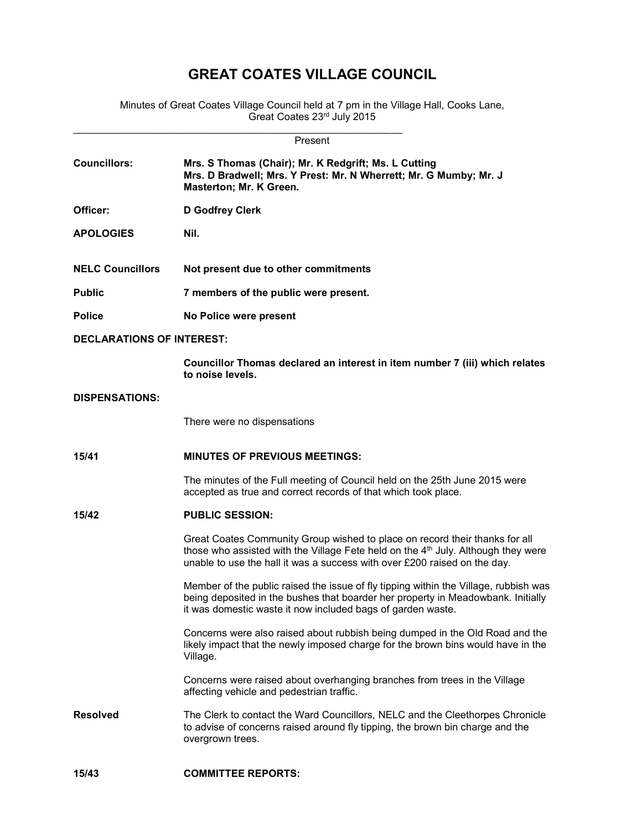## GREAT COATES VILLAGE COUNCIL

Minutes of Great Coates Village Council held at 7 pm in the Village Hall, Cooks Lane, Great Coates 23<sup>rd</sup> July 2015

| Present                          |                                                                                                                                                                                                                                                           |  |  |  |
|----------------------------------|-----------------------------------------------------------------------------------------------------------------------------------------------------------------------------------------------------------------------------------------------------------|--|--|--|
| <b>Councillors:</b>              | Mrs. S Thomas (Chair); Mr. K Redgrift; Ms. L Cutting<br>Mrs. D Bradwell; Mrs. Y Prest: Mr. N Wherrett; Mr. G Mumby; Mr. J<br>Masterton; Mr. K Green.                                                                                                      |  |  |  |
| Officer:                         | D Godfrey Clerk                                                                                                                                                                                                                                           |  |  |  |
| <b>APOLOGIES</b>                 | Nil.                                                                                                                                                                                                                                                      |  |  |  |
| <b>NELC Councillors</b>          | Not present due to other commitments                                                                                                                                                                                                                      |  |  |  |
| <b>Public</b>                    | 7 members of the public were present.                                                                                                                                                                                                                     |  |  |  |
| <b>Police</b>                    | No Police were present                                                                                                                                                                                                                                    |  |  |  |
| <b>DECLARATIONS OF INTEREST:</b> |                                                                                                                                                                                                                                                           |  |  |  |
|                                  | Councillor Thomas declared an interest in item number 7 (iii) which relates<br>to noise levels.                                                                                                                                                           |  |  |  |
| <b>DISPENSATIONS:</b>            |                                                                                                                                                                                                                                                           |  |  |  |
|                                  | There were no dispensations                                                                                                                                                                                                                               |  |  |  |
| 15/41                            | <b>MINUTES OF PREVIOUS MEETINGS:</b>                                                                                                                                                                                                                      |  |  |  |
|                                  | The minutes of the Full meeting of Council held on the 25th June 2015 were<br>accepted as true and correct records of that which took place.                                                                                                              |  |  |  |
| 15/42                            | <b>PUBLIC SESSION:</b>                                                                                                                                                                                                                                    |  |  |  |
|                                  | Great Coates Community Group wished to place on record their thanks for all<br>those who assisted with the Village Fete held on the 4 <sup>th</sup> July. Although they were<br>unable to use the hall it was a success with over £200 raised on the day. |  |  |  |
|                                  | Member of the public raised the issue of fly tipping within the Village, rubbish was<br>being deposited in the bushes that boarder her property in Meadowbank. Initially<br>it was domestic waste it now included bags of garden waste.                   |  |  |  |
|                                  | Concerns were also raised about rubbish being dumped in the Old Road and the<br>likely impact that the newly imposed charge for the brown bins would have in the<br>Village.                                                                              |  |  |  |
|                                  | Concerns were raised about overhanging branches from trees in the Village<br>affecting vehicle and pedestrian traffic.                                                                                                                                    |  |  |  |
| <b>Resolved</b>                  | The Clerk to contact the Ward Councillors, NELC and the Cleethorpes Chronicle<br>to advise of concerns raised around fly tipping, the brown bin charge and the<br>overgrown trees.                                                                        |  |  |  |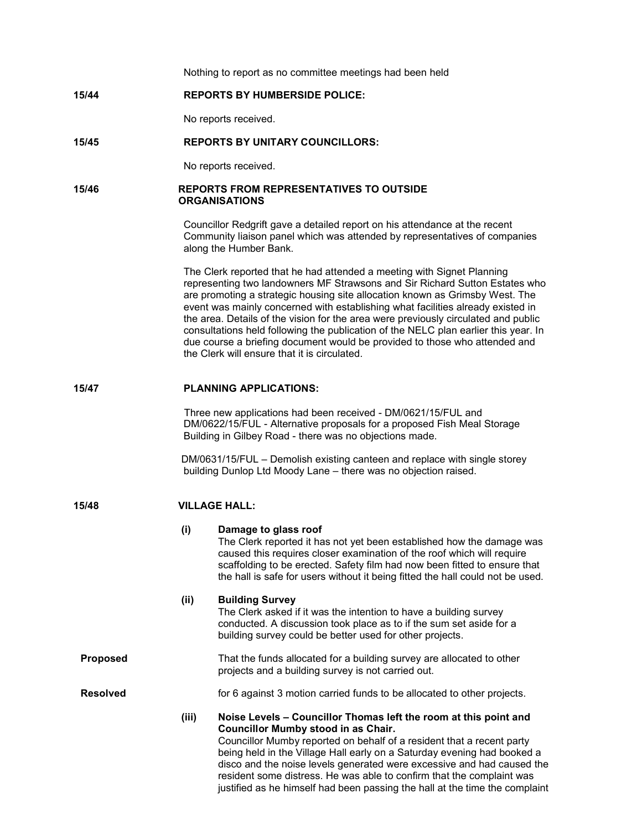|                 |       | Nothing to report as no committee meetings had been held                                                                                                                                                                                                                                                                                                                                                                                                                                                                                                                                                                            |  |  |  |  |
|-----------------|-------|-------------------------------------------------------------------------------------------------------------------------------------------------------------------------------------------------------------------------------------------------------------------------------------------------------------------------------------------------------------------------------------------------------------------------------------------------------------------------------------------------------------------------------------------------------------------------------------------------------------------------------------|--|--|--|--|
| 15/44           |       | <b>REPORTS BY HUMBERSIDE POLICE:</b>                                                                                                                                                                                                                                                                                                                                                                                                                                                                                                                                                                                                |  |  |  |  |
|                 |       | No reports received.                                                                                                                                                                                                                                                                                                                                                                                                                                                                                                                                                                                                                |  |  |  |  |
| 15/45           |       | <b>REPORTS BY UNITARY COUNCILLORS:</b>                                                                                                                                                                                                                                                                                                                                                                                                                                                                                                                                                                                              |  |  |  |  |
|                 |       | No reports received.                                                                                                                                                                                                                                                                                                                                                                                                                                                                                                                                                                                                                |  |  |  |  |
| 15/46           |       | <b>REPORTS FROM REPRESENTATIVES TO OUTSIDE</b><br><b>ORGANISATIONS</b>                                                                                                                                                                                                                                                                                                                                                                                                                                                                                                                                                              |  |  |  |  |
|                 |       | Councillor Redgrift gave a detailed report on his attendance at the recent<br>Community liaison panel which was attended by representatives of companies<br>along the Humber Bank.                                                                                                                                                                                                                                                                                                                                                                                                                                                  |  |  |  |  |
|                 |       | The Clerk reported that he had attended a meeting with Signet Planning<br>representing two landowners MF Strawsons and Sir Richard Sutton Estates who<br>are promoting a strategic housing site allocation known as Grimsby West. The<br>event was mainly concerned with establishing what facilities already existed in<br>the area. Details of the vision for the area were previously circulated and public<br>consultations held following the publication of the NELC plan earlier this year. In<br>due course a briefing document would be provided to those who attended and<br>the Clerk will ensure that it is circulated. |  |  |  |  |
| 15/47           |       | <b>PLANNING APPLICATIONS:</b>                                                                                                                                                                                                                                                                                                                                                                                                                                                                                                                                                                                                       |  |  |  |  |
|                 |       | Three new applications had been received - DM/0621/15/FUL and<br>DM/0622/15/FUL - Alternative proposals for a proposed Fish Meal Storage<br>Building in Gilbey Road - there was no objections made.                                                                                                                                                                                                                                                                                                                                                                                                                                 |  |  |  |  |
|                 |       | DM/0631/15/FUL - Demolish existing canteen and replace with single storey<br>building Dunlop Ltd Moody Lane - there was no objection raised.                                                                                                                                                                                                                                                                                                                                                                                                                                                                                        |  |  |  |  |
| 15/48           |       | <b>VILLAGE HALL:</b>                                                                                                                                                                                                                                                                                                                                                                                                                                                                                                                                                                                                                |  |  |  |  |
|                 | (i)   | Damage to glass roof<br>The Clerk reported it has not yet been established how the damage was<br>caused this requires closer examination of the roof which will require<br>scaffolding to be erected. Safety film had now been fitted to ensure that<br>the hall is safe for users without it being fitted the hall could not be used.                                                                                                                                                                                                                                                                                              |  |  |  |  |
|                 | (ii)  | <b>Building Survey</b><br>The Clerk asked if it was the intention to have a building survey<br>conducted. A discussion took place as to if the sum set aside for a<br>building survey could be better used for other projects.                                                                                                                                                                                                                                                                                                                                                                                                      |  |  |  |  |
| <b>Proposed</b> |       | That the funds allocated for a building survey are allocated to other<br>projects and a building survey is not carried out.                                                                                                                                                                                                                                                                                                                                                                                                                                                                                                         |  |  |  |  |
| <b>Resolved</b> |       | for 6 against 3 motion carried funds to be allocated to other projects.                                                                                                                                                                                                                                                                                                                                                                                                                                                                                                                                                             |  |  |  |  |
|                 | (iii) | Noise Levels - Councillor Thomas left the room at this point and<br><b>Councillor Mumby stood in as Chair.</b><br>Councillor Mumby reported on behalf of a resident that a recent party<br>being held in the Village Hall early on a Saturday evening had booked a<br>disco and the noise levels generated were excessive and had caused the<br>resident some distress. He was able to confirm that the complaint was<br>justified as he himself had been passing the hall at the time the complaint                                                                                                                                |  |  |  |  |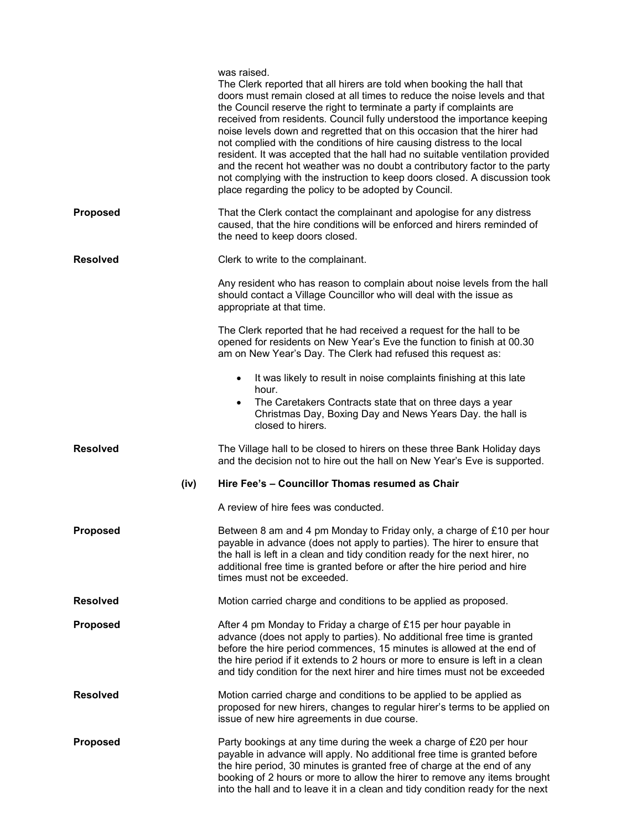|                 | was raised.<br>The Clerk reported that all hirers are told when booking the hall that<br>doors must remain closed at all times to reduce the noise levels and that<br>the Council reserve the right to terminate a party if complaints are<br>received from residents. Council fully understood the importance keeping<br>noise levels down and regretted that on this occasion that the hirer had<br>not complied with the conditions of hire causing distress to the local<br>resident. It was accepted that the hall had no suitable ventilation provided<br>and the recent hot weather was no doubt a contributory factor to the party<br>not complying with the instruction to keep doors closed. A discussion took<br>place regarding the policy to be adopted by Council. |
|-----------------|----------------------------------------------------------------------------------------------------------------------------------------------------------------------------------------------------------------------------------------------------------------------------------------------------------------------------------------------------------------------------------------------------------------------------------------------------------------------------------------------------------------------------------------------------------------------------------------------------------------------------------------------------------------------------------------------------------------------------------------------------------------------------------|
| <b>Proposed</b> | That the Clerk contact the complainant and apologise for any distress<br>caused, that the hire conditions will be enforced and hirers reminded of<br>the need to keep doors closed.                                                                                                                                                                                                                                                                                                                                                                                                                                                                                                                                                                                              |
| Resolved        | Clerk to write to the complainant.                                                                                                                                                                                                                                                                                                                                                                                                                                                                                                                                                                                                                                                                                                                                               |
|                 | Any resident who has reason to complain about noise levels from the hall<br>should contact a Village Councillor who will deal with the issue as<br>appropriate at that time.                                                                                                                                                                                                                                                                                                                                                                                                                                                                                                                                                                                                     |
|                 | The Clerk reported that he had received a request for the hall to be<br>opened for residents on New Year's Eve the function to finish at 00.30<br>am on New Year's Day. The Clerk had refused this request as:                                                                                                                                                                                                                                                                                                                                                                                                                                                                                                                                                                   |
|                 | It was likely to result in noise complaints finishing at this late<br>$\bullet$                                                                                                                                                                                                                                                                                                                                                                                                                                                                                                                                                                                                                                                                                                  |
|                 | hour.<br>The Caretakers Contracts state that on three days a year<br>Christmas Day, Boxing Day and News Years Day. the hall is<br>closed to hirers.                                                                                                                                                                                                                                                                                                                                                                                                                                                                                                                                                                                                                              |
| Resolved        | The Village hall to be closed to hirers on these three Bank Holiday days<br>and the decision not to hire out the hall on New Year's Eve is supported.                                                                                                                                                                                                                                                                                                                                                                                                                                                                                                                                                                                                                            |
| (iv)            | Hire Fee's - Councillor Thomas resumed as Chair                                                                                                                                                                                                                                                                                                                                                                                                                                                                                                                                                                                                                                                                                                                                  |
|                 | A review of hire fees was conducted.                                                                                                                                                                                                                                                                                                                                                                                                                                                                                                                                                                                                                                                                                                                                             |
| <b>Proposed</b> | Between 8 am and 4 pm Monday to Friday only, a charge of £10 per hour<br>payable in advance (does not apply to parties). The hirer to ensure that<br>the hall is left in a clean and tidy condition ready for the next hirer, no<br>additional free time is granted before or after the hire period and hire<br>times must not be exceeded.                                                                                                                                                                                                                                                                                                                                                                                                                                      |
| <b>Resolved</b> | Motion carried charge and conditions to be applied as proposed.                                                                                                                                                                                                                                                                                                                                                                                                                                                                                                                                                                                                                                                                                                                  |
| <b>Proposed</b> | After 4 pm Monday to Friday a charge of £15 per hour payable in<br>advance (does not apply to parties). No additional free time is granted<br>before the hire period commences, 15 minutes is allowed at the end of<br>the hire period if it extends to 2 hours or more to ensure is left in a clean<br>and tidy condition for the next hirer and hire times must not be exceeded                                                                                                                                                                                                                                                                                                                                                                                                |
| <b>Resolved</b> | Motion carried charge and conditions to be applied to be applied as<br>proposed for new hirers, changes to regular hirer's terms to be applied on<br>issue of new hire agreements in due course.                                                                                                                                                                                                                                                                                                                                                                                                                                                                                                                                                                                 |
| <b>Proposed</b> | Party bookings at any time during the week a charge of £20 per hour<br>payable in advance will apply. No additional free time is granted before<br>the hire period, 30 minutes is granted free of charge at the end of any<br>booking of 2 hours or more to allow the hirer to remove any items brought<br>into the hall and to leave it in a clean and tidy condition ready for the next                                                                                                                                                                                                                                                                                                                                                                                        |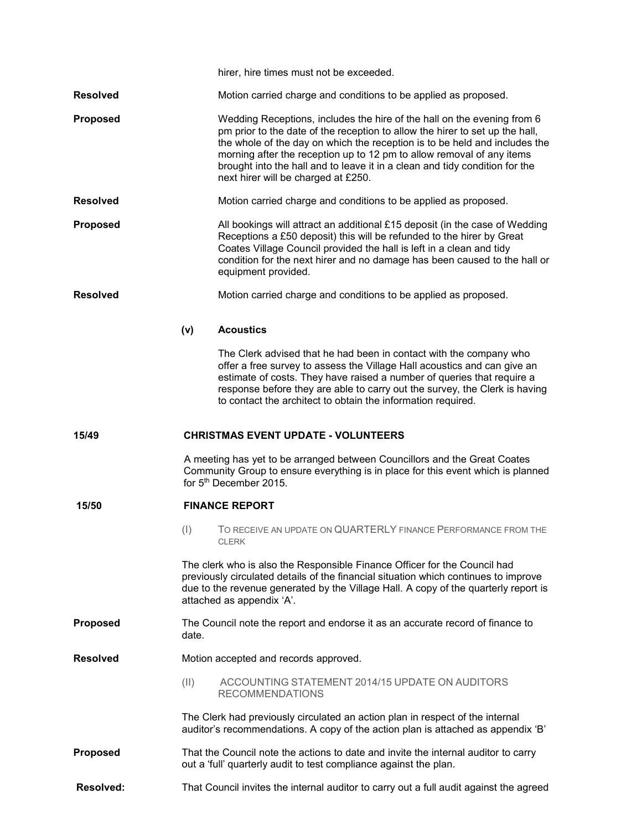|                 |       | hirer, hire times must not be exceeded.                                                                                                                                                                                                                                                                                                                                                                                              |
|-----------------|-------|--------------------------------------------------------------------------------------------------------------------------------------------------------------------------------------------------------------------------------------------------------------------------------------------------------------------------------------------------------------------------------------------------------------------------------------|
| Resolved        |       | Motion carried charge and conditions to be applied as proposed.                                                                                                                                                                                                                                                                                                                                                                      |
| <b>Proposed</b> |       | Wedding Receptions, includes the hire of the hall on the evening from 6<br>pm prior to the date of the reception to allow the hirer to set up the hall,<br>the whole of the day on which the reception is to be held and includes the<br>morning after the reception up to 12 pm to allow removal of any items<br>brought into the hall and to leave it in a clean and tidy condition for the<br>next hirer will be charged at £250. |
| Resolved        |       | Motion carried charge and conditions to be applied as proposed.                                                                                                                                                                                                                                                                                                                                                                      |
| <b>Proposed</b> |       | All bookings will attract an additional £15 deposit (in the case of Wedding<br>Receptions a £50 deposit) this will be refunded to the hirer by Great<br>Coates Village Council provided the hall is left in a clean and tidy<br>condition for the next hirer and no damage has been caused to the hall or<br>equipment provided.                                                                                                     |
| <b>Resolved</b> |       | Motion carried charge and conditions to be applied as proposed.                                                                                                                                                                                                                                                                                                                                                                      |
|                 | (v)   | <b>Acoustics</b>                                                                                                                                                                                                                                                                                                                                                                                                                     |
|                 |       | The Clerk advised that he had been in contact with the company who<br>offer a free survey to assess the Village Hall acoustics and can give an<br>estimate of costs. They have raised a number of queries that require a<br>response before they are able to carry out the survey, the Clerk is having<br>to contact the architect to obtain the information required.                                                               |
| 15/49           |       | <b>CHRISTMAS EVENT UPDATE - VOLUNTEERS</b>                                                                                                                                                                                                                                                                                                                                                                                           |
|                 |       | A meeting has yet to be arranged between Councillors and the Great Coates                                                                                                                                                                                                                                                                                                                                                            |
|                 |       | Community Group to ensure everything is in place for this event which is planned<br>for 5 <sup>th</sup> December 2015.                                                                                                                                                                                                                                                                                                               |
| 15/50           |       | <b>FINANCE REPORT</b>                                                                                                                                                                                                                                                                                                                                                                                                                |
|                 | (1)   | TO RECEIVE AN UPDATE ON QUARTERLY FINANCE PERFORMANCE FROM THE<br><b>CLERK</b>                                                                                                                                                                                                                                                                                                                                                       |
|                 |       | The clerk who is also the Responsible Finance Officer for the Council had<br>previously circulated details of the financial situation which continues to improve<br>due to the revenue generated by the Village Hall. A copy of the quarterly report is<br>attached as appendix 'A'.                                                                                                                                                 |
| Proposed        | date. | The Council note the report and endorse it as an accurate record of finance to                                                                                                                                                                                                                                                                                                                                                       |
| Resolved        |       | Motion accepted and records approved.                                                                                                                                                                                                                                                                                                                                                                                                |
|                 | (11)  | ACCOUNTING STATEMENT 2014/15 UPDATE ON AUDITORS<br><b>RECOMMENDATIONS</b>                                                                                                                                                                                                                                                                                                                                                            |
|                 |       | The Clerk had previously circulated an action plan in respect of the internal<br>auditor's recommendations. A copy of the action plan is attached as appendix 'B'                                                                                                                                                                                                                                                                    |
| Proposed        |       | That the Council note the actions to date and invite the internal auditor to carry<br>out a 'full' quarterly audit to test compliance against the plan.                                                                                                                                                                                                                                                                              |